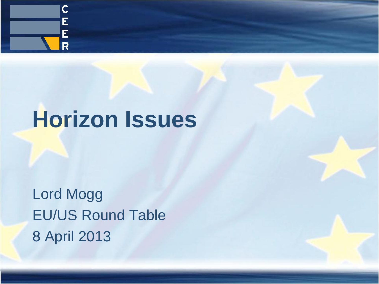

# **Horizon Issues**

Lord Mogg EU/US Round Table 8 April 2013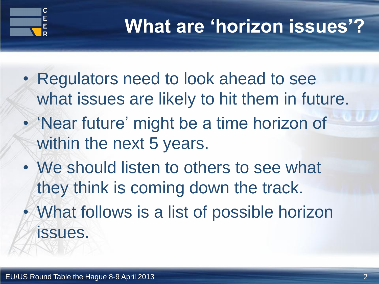

### **What are 'horizon issues'?**

- Regulators need to look ahead to see what issues are likely to hit them in future.
- 'Near future' might be a time horizon of within the next 5 years.
- We should listen to others to see what they think is coming down the track.
- What follows is a list of possible horizon issues.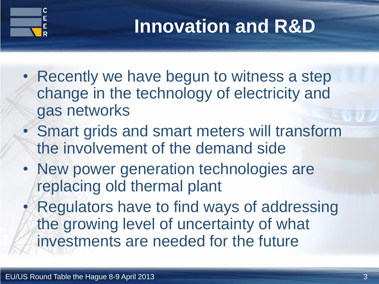

## **Innovation and R&D**

- Recently we have begun to witness a step change in the technology of electricity and gas networks
- Smart grids and smart meters will transform the involvement of the demand side
- New power generation technologies are replacing old thermal plant

• Regulators have to find ways of addressing the growing level of uncertainty of what investments are needed for the future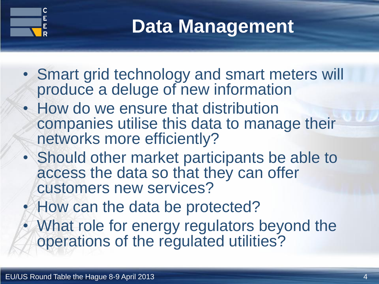

## **Data Management**

- Smart grid technology and smart meters will produce a deluge of new information
- How do we ensure that distribution companies utilise this data to manage their networks more efficiently?
- Should other market participants be able to access the data so that they can offer customers new services?
- How can the data be protected?
- What role for energy regulators beyond the operations of the regulated utilities?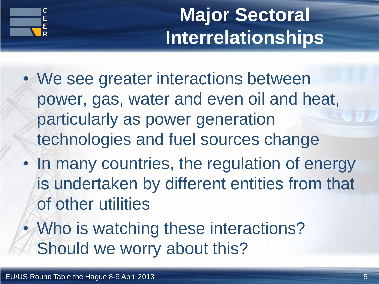

# **Major Sectoral Interrelationships**

- We see greater interactions between power, gas, water and even oil and heat, particularly as power generation technologies and fuel sources change
- In many countries, the regulation of energy is undertaken by different entities from that of other utilities
- Who is watching these interactions? Should we worry about this?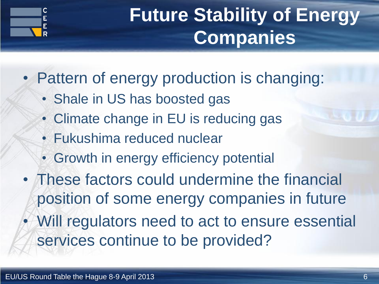

## **Future Stability of Energy Companies**

• Pattern of energy production is changing:

- Shale in US has boosted gas
- Climate change in EU is reducing gas
- Fukushima reduced nuclear
- Growth in energy efficiency potential
- These factors could undermine the financial position of some energy companies in future • Will regulators need to act to ensure essential services continue to be provided?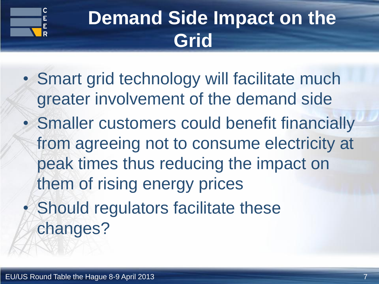

## **Demand Side Impact on the Grid**

- Smart grid technology will facilitate much greater involvement of the demand side
- Smaller customers could benefit financially from agreeing not to consume electricity at peak times thus reducing the impact on them of rising energy prices Should regulators facilitate these changes?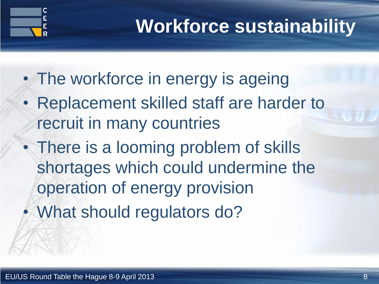

## **Workforce sustainability**

- The workforce in energy is ageing
- Replacement skilled staff are harder to recruit in many countries
- There is a looming problem of skills shortages which could undermine the operation of energy provision
- What should regulators do?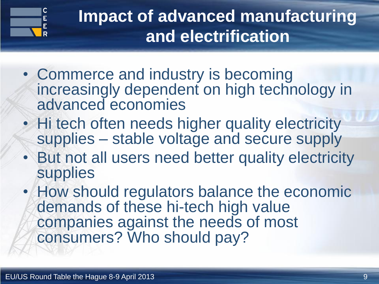

#### **Impact of advanced manufacturing and electrification**

- Commerce and industry is becoming increasingly dependent on high technology in advanced economies
- Hi tech often needs higher quality electricity supplies – stable voltage and secure supply
- But not all users need better quality electricity supplies
- How should regulators balance the economic demands of these hi-tech high value companies against the needs of most consumers? Who should pay?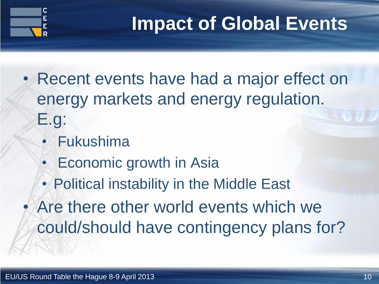

### **Impact of Global Events**

- Recent events have had a major effect on energy markets and energy regulation. E.g:
	- Fukushima
	- Economic growth in Asia
	- Political instability in the Middle East

Are there other world events which we could/should have contingency plans for?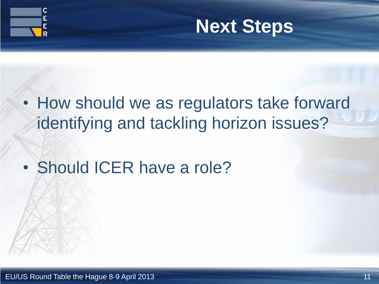



- How should we as regulators take forward identifying and tackling horizon issues?
- Should ICER have a role?